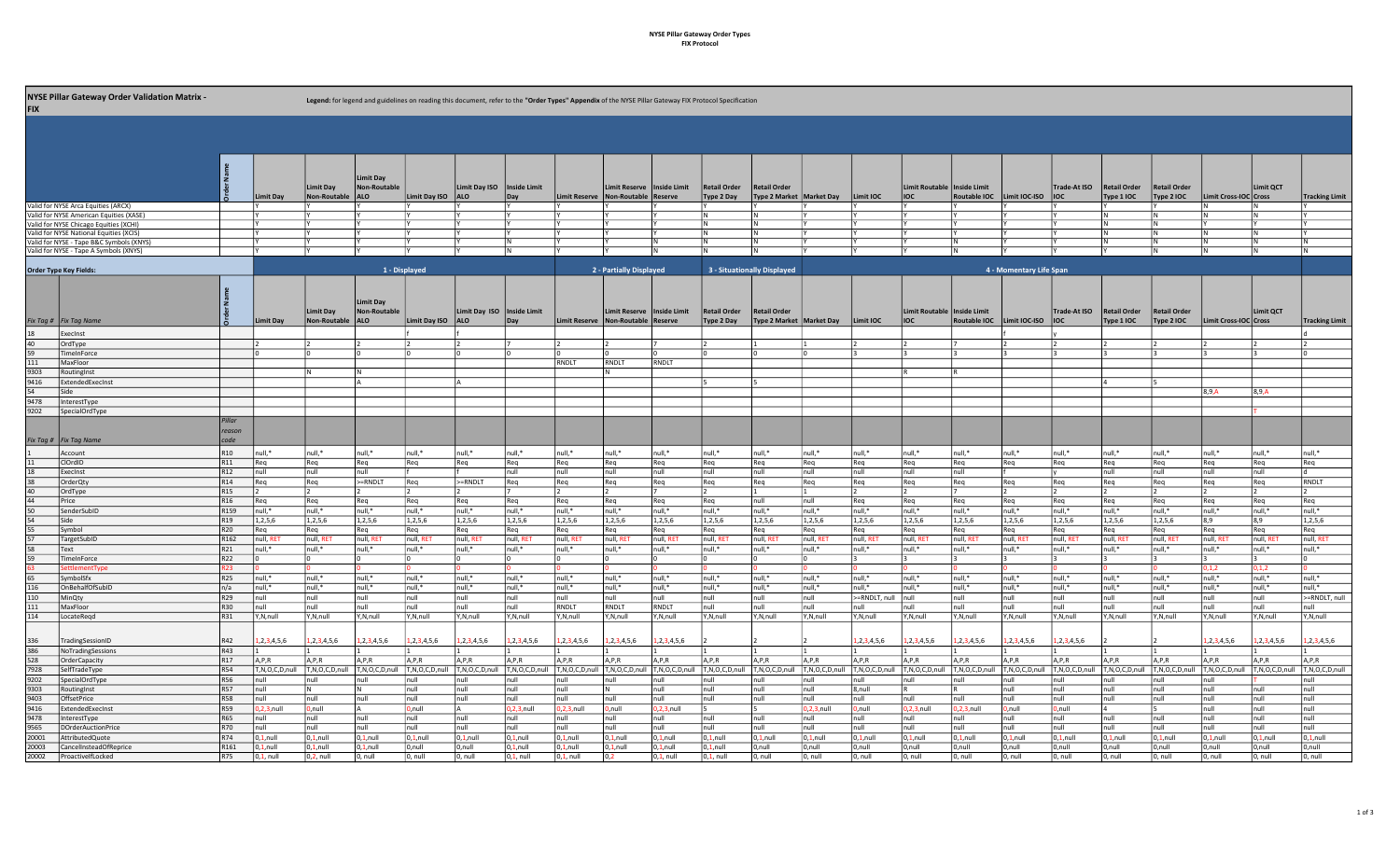## NYSE Pillar Gateway Order Types FIX Protocol

| <b>FIX</b>    | <b>NYSE Pillar Gateway Order Validation Matrix -</b>                              |                                    |                        |                           | Legend: for legend and guidelines on reading this document, refer to the "Order Types" Appendix of the NYSE Pillar Gateway FIX Protocol Specification |                       |                                             |                     |                       |                                                      |                      |                            |                                                   |                      |                      |                                       |                              |                         |                      |                                   |                                   |                       |                      |                       |
|---------------|-----------------------------------------------------------------------------------|------------------------------------|------------------------|---------------------------|-------------------------------------------------------------------------------------------------------------------------------------------------------|-----------------------|---------------------------------------------|---------------------|-----------------------|------------------------------------------------------|----------------------|----------------------------|---------------------------------------------------|----------------------|----------------------|---------------------------------------|------------------------------|-------------------------|----------------------|-----------------------------------|-----------------------------------|-----------------------|----------------------|-----------------------|
|               |                                                                                   |                                    |                        |                           |                                                                                                                                                       |                       |                                             |                     |                       |                                                      |                      |                            |                                                   |                      |                      |                                       |                              |                         |                      |                                   |                                   |                       |                      |                       |
|               |                                                                                   |                                    | <b>Limit Day</b>       | Limit Day<br>Non-Routable | <b>Limit Day</b><br><b>Non-Routable</b><br><b>ALO</b>                                                                                                 | <b>Limit Day ISO</b>  | Limit Day ISO   Inside Limit<br><b>JALO</b> |                     | <b>Limit Reserve</b>  | Limit Reserve   Inside Limit<br>Non-Routable Reserve |                      | Retail Order<br>Type 2 Day | <b>Retail Order</b><br>Type 2 Market   Market Day |                      | Limit IOC            | Limit Routable   Inside Limit<br>lioc | Routable IOC   Limit IOC-ISO |                         | Trade-At ISO<br>loc  | <b>Retail Order</b><br>Type 1 IOC | <b>Retail Order</b><br>Type 2 IOC | Limit Cross-IOC Cross | Limit QCT            | <b>Tracking Limit</b> |
|               | Valid for NYSE Arca Equities (ARCX)                                               |                                    |                        |                           |                                                                                                                                                       |                       |                                             |                     |                       |                                                      |                      |                            |                                                   |                      |                      |                                       |                              |                         |                      |                                   |                                   |                       |                      |                       |
|               | Valid for NYSE American Equities (XASE)                                           |                                    |                        |                           |                                                                                                                                                       |                       |                                             |                     |                       |                                                      |                      | N                          | IN.                                               |                      |                      |                                       |                              |                         |                      |                                   | N<br>IN.                          |                       | IN.                  |                       |
|               | Valid for NYSE Chicago Equities (XCHI)<br>Valid for NYSE National Equities (XCIS) |                                    |                        |                           |                                                                                                                                                       |                       |                                             |                     |                       |                                                      |                      | IN.<br>IN.                 | IN.                                               |                      |                      |                                       |                              |                         |                      |                                   | N                                 |                       | IN.                  |                       |
|               | Valid for NYSE - Tape B&C Symbols (XNYS                                           |                                    |                        |                           |                                                                                                                                                       |                       |                                             |                     |                       |                                                      | IN.                  | IN.                        | IN.                                               |                      |                      |                                       | IN.                          |                         |                      |                                   | N                                 |                       | IN.                  | N                     |
|               | Valid for NYSE - Tape A Symbols (XNYS)                                            |                                    |                        |                           |                                                                                                                                                       |                       |                                             | IΝ                  |                       |                                                      | IN.                  | IN.                        | IN.                                               |                      |                      |                                       | IN.                          |                         |                      |                                   | IN                                | IN.                   | IN.                  | IN.                   |
|               | <b>Order Type Key Fields:</b>                                                     |                                    |                        |                           |                                                                                                                                                       | 1 - Displayed         |                                             |                     |                       | 2 - Partially Displayed                              |                      |                            | 3 - Situationally Displayed                       |                      |                      |                                       |                              | 4 - Momentary Life Span |                      |                                   |                                   |                       |                      |                       |
|               |                                                                                   |                                    |                        | Limit Day                 | <b>Limit Day</b><br><b>Non-Routable</b>                                                                                                               |                       | Limit Day ISO   Inside Limit                |                     |                       | Limit Reserve   Inside Limit                         |                      | <b>Retail Order</b>        | <b>Retail Order</b>                               |                      |                      | Limit Routable   Inside Limit         |                              |                         | Trade-At ISO         | <b>Retail Order</b>               | <b>Retail Order</b>               |                       | <b>Limit QCT</b>     |                       |
|               | Fix Tag #   Fix Tag Name                                                          |                                    | Limit Day              | Non-Routable              | <b>ALO</b>                                                                                                                                            | Limit Day ISO         | <b>ALO</b>                                  | Day                 |                       | Limit Reserve Non-Routable Reserve                   |                      | Type 2 Day                 | Type 2 Market   Market Day                        |                      | Limit IOC            | lioc                                  | Routable IOC   Limit IOC-ISO |                         | $ $ IOC              | Type 1 IOC                        | Type 2 IOC                        | Limit Cross-IOC Cross |                      | <b>Tracking Limit</b> |
|               | ExecInst                                                                          |                                    |                        |                           |                                                                                                                                                       |                       |                                             |                     |                       |                                                      |                      |                            |                                                   |                      |                      |                                       |                              |                         |                      |                                   |                                   |                       |                      |                       |
| 40            | OrdType                                                                           |                                    |                        |                           |                                                                                                                                                       |                       |                                             |                     |                       |                                                      |                      |                            |                                                   |                      |                      |                                       |                              |                         |                      |                                   |                                   |                       |                      |                       |
| 59            | TimeInForce                                                                       |                                    |                        |                           |                                                                                                                                                       |                       |                                             |                     |                       |                                                      |                      |                            |                                                   |                      |                      |                                       |                              |                         |                      |                                   |                                   |                       |                      |                       |
| 111           | MaxFloor                                                                          |                                    |                        |                           |                                                                                                                                                       |                       |                                             |                     | RNDIT                 | RNDLT                                                | RNDLT                |                            |                                                   |                      |                      |                                       |                              |                         |                      |                                   |                                   |                       |                      |                       |
| 9303<br>9416  | RoutingInst<br>ExtendedExecInst                                                   |                                    |                        |                           |                                                                                                                                                       |                       |                                             |                     |                       |                                                      |                      |                            |                                                   |                      |                      |                                       |                              |                         |                      |                                   |                                   |                       |                      |                       |
| 54            | Side                                                                              |                                    |                        |                           |                                                                                                                                                       |                       |                                             |                     |                       |                                                      |                      |                            |                                                   |                      |                      |                                       |                              |                         |                      |                                   |                                   | 8,9,A                 | 8,9,A                |                       |
| 9478          | InterestTvpe                                                                      |                                    |                        |                           |                                                                                                                                                       |                       |                                             |                     |                       |                                                      |                      |                            |                                                   |                      |                      |                                       |                              |                         |                      |                                   |                                   |                       |                      |                       |
| 9202          | SpecialOrdType                                                                    |                                    |                        |                           |                                                                                                                                                       |                       |                                             |                     |                       |                                                      |                      |                            |                                                   |                      |                      |                                       |                              |                         |                      |                                   |                                   |                       |                      |                       |
|               |                                                                                   | Pillar<br>reason                   |                        |                           |                                                                                                                                                       |                       |                                             |                     |                       |                                                      |                      |                            |                                                   |                      |                      |                                       |                              |                         |                      |                                   |                                   |                       |                      |                       |
|               | Fix Tag #   Fix Tag Name                                                          | code                               |                        |                           |                                                                                                                                                       |                       |                                             |                     |                       |                                                      |                      |                            |                                                   |                      |                      |                                       |                              |                         |                      |                                   |                                   |                       |                      |                       |
|               | Account                                                                           | R10                                | Inull.*                | $null$ *                  | null,*                                                                                                                                                | null.*                | null.*                                      | null <sup>*</sup>   | $null$ *              | null,*                                               | null,*               | null.*                     | $null$ *                                          | null <sup>*</sup>    | null,*               | null,*                                | null.*                       | null.*                  | null <sup>*</sup>    | null,*                            | null,*                            | null.*                | null.*               | null <sup>*</sup>     |
|               | ClOrdID                                                                           | R11                                | Req                    | Reg                       | Req                                                                                                                                                   | Req                   | Req                                         | Req                 | Reg                   | Req                                                  | Req                  | Req                        | Req                                               | Req                  | Req                  | Req                                   | Req                          | Req                     | Req                  | Req                               | Req                               | Req                   | Req                  | Req                   |
|               | ExecInst<br>OrderQty                                                              | R <sub>12</sub><br>R <sub>14</sub> | null<br>l Rea          | null<br>Rea               | null<br>>=RNDLT                                                                                                                                       | Req                   | >=RNDLT                                     | ull<br>Reg          | null<br>l Rea         | null<br>Req                                          | null<br>Reg          | null<br>Req                | null<br>Rea                                       | null<br>Req          | null<br>Rea          | null<br>Reg                           | null<br>Req                  | Rea                     | Req                  | null<br>Req                       | null<br>Req                       | null<br>Req           | null<br>Rea          | RNDLT                 |
|               | OrdType                                                                           | R <sub>15</sub>                    |                        |                           |                                                                                                                                                       |                       |                                             |                     |                       |                                                      |                      |                            |                                                   |                      |                      |                                       |                              |                         |                      |                                   |                                   |                       |                      |                       |
| 44            | Price                                                                             | R <sub>16</sub>                    | Req                    | Req                       | Req                                                                                                                                                   | Req                   | Req                                         | Req                 | Req                   | Req                                                  | Req                  | Req                        | null                                              | null                 | Req                  | Req                                   | Req                          | Req                     | Req                  | Req                               | Req                               | Req                   | Req                  | Req                   |
|               | SenderSubID                                                                       | R <sub>159</sub>                   | null,*                 | null,*                    | null,*                                                                                                                                                | null,*                | null,*                                      | null,*              | null,*                | null,*                                               | null,*               | null,*                     | null,*                                            | null,*               | null,*               | null,*                                | null,*                       | null,*                  | null,*               | null,*                            | null,*                            | null,*                | null,*               | null,*                |
|               | Side                                                                              | R <sub>19</sub>                    | 1,2,5,6                | 1,2,5,6                   | 1,2,5,6                                                                                                                                               | 1,2,5,6               | 1,2,5,6                                     | 1,2,5,6             | 1,2,5,6               | 1,2,5,6                                              | 1,2,5,6              | 1,2,5,6                    | 1,2,5,6                                           | 1,2,5,6              | 1,2,5,6              | 1,2,5,6                               | 1,2,5,6                      | 1,2,5,6                 | 1,2,5,6              | 1,2,5,6                           | 1,2,5,6                           | 8,9                   | 8,9                  | 1,2,5,6               |
|               | Symbol                                                                            | R20                                | l Rea                  | Rea                       | Req                                                                                                                                                   | l Rea                 | Req                                         | Req                 | l Rea                 | Req                                                  | Req                  | Req                        | Reg                                               | Req                  | Rea                  | Req                                   | Req                          | Req                     | Req                  | Rea                               | Req                               | Req                   | Req                  | Req                   |
|               | TargetSubID                                                                       | R <sub>162</sub>                   | Inull, RE              | null, RET                 | null, RET                                                                                                                                             | null, RET             | null, RET                                   | null, RET           | null, RET             | null, RE                                             | null, RET            | null, RET                  | null, RET                                         | null, RET            | null, RET            | null, RET                             | null, RET                    | null, RET               | null, RET            | null, RET                         | null, RET                         | null, RET             | null, RE             | null, RET             |
|               | Text<br>TimeInForce                                                               | R21<br>R22                         | null,*                 | null,*                    | null,*                                                                                                                                                | null,*                | null,*                                      | null,*              | null,*                | null,*                                               | null,*               | null,*                     | null,*                                            | null,*               | null,*               | null,*                                | null,*                       | null,*                  | null,*               | null,*                            | null,*                            | null,*                | null,*               | null,*                |
|               | ettlementTvi                                                                      | R23                                |                        |                           |                                                                                                                                                       |                       |                                             |                     |                       |                                                      |                      |                            |                                                   |                      |                      |                                       |                              |                         |                      |                                   |                                   | 1.1.2                 | 0.1.2                |                       |
| 65            | SymbolSfx                                                                         | R25                                | null.*                 | Inull.*                   | Inull.*                                                                                                                                               | Inull.*               | null,*                                      | null.*              | Inull.*               | null.*                                               | null.*               | null.*                     | null.*                                            | null.*               | null.*               | null,*                                | null.*                       | Inull.*                 | null.*               | null.*                            | null,*                            | null.*                | Inull.*              | null.*                |
| 116           | OnBehalfOfSubID                                                                   | n/a                                | null,*                 | null,*                    | null,*                                                                                                                                                | null,*                | null,*                                      | null,*              | null,*                | null,*                                               | null,*               | null,*                     | null,*                                            | null,*               | null,*               | null,*                                | null,*                       | null,*                  | null,*               | null,*                            | null,*                            | null,*                | null,*               | null,*                |
| 110           | MinQty                                                                            | R29                                | null                   | null                      | null                                                                                                                                                  | null                  | null                                        | null                | Inull                 | null                                                 | null                 | null                       | null                                              | null                 | >=RNDLT, null        | null                                  | null                         | null                    | null                 | null                              | null                              | null                  | null                 | >=RNDLT, null         |
| 111           | MaxEloor                                                                          | R30                                | Inull                  | lnull                     | Inull                                                                                                                                                 | Inull                 | null                                        | null                | RNDLT                 | RNDIT                                                | RNDLT                | null                       | null                                              | null                 | null                 | null                                  | null                         | null                    | null                 | null                              | null                              | null                  | null                 | null                  |
| 114           | LocateRegd                                                                        | R31                                | IY.N.null              | Y,N,null                  | Y,N,null                                                                                                                                              | Y,N,null              | Y,N,null                                    | Y,N,null            | Y,N,null              | Y,N,null                                             | Y,N,null             | Y,N,null                   | Y,N,null                                          | Y,N,null             | Y,N,null             | Y,N,null                              | Y,N,null                     | Y,N,null                | Y,N,null             | Y,N,null                          | Y,N,null                          | Y,N,null              | Y,N,null             | Y,N,null              |
| 336           | TradingSessionID                                                                  | R42                                | 1, 2, 3, 4, 5, 6       | 1, 2, 3, 4, 5, 6          | 1,2,3,4,5,6                                                                                                                                           | 1, 2, 3, 4, 5, 6      | 1,2,3,4,5,6                                 | 1, 2, 3, 4, 5, 6    | 1, 2, 3, 4, 5, 6      | 1, 2, 3, 4, 5, 6                                     | 1,2,3,4,5,6          |                            |                                                   |                      | ,2,3,4,5,6           | 1, 2, 3, 4, 5, 6                      | 1,2,3,4,5,6                  | 1,2,3,4,5,6             | 1, 2, 3, 4, 5, 6     |                                   |                                   | 1, 2, 3, 4, 5, 6      | 1, 2, 3, 4, 5, 6     | 1, 2, 3, 4, 5, 6      |
| 386           | NoTradingSessions                                                                 | R43                                |                        |                           |                                                                                                                                                       |                       |                                             |                     |                       |                                                      |                      |                            |                                                   |                      |                      |                                       |                              |                         |                      |                                   |                                   |                       |                      |                       |
| 528           | OrderCapacity                                                                     | R <sub>17</sub>                    | A, P, R                | A, P, R                   | A, P, R                                                                                                                                               | A, P, R               | A, P, R                                     | A, P, R             | A,P,R                 | A, P, R                                              | A, P, R              | A, P, R                    | A, P, R                                           | A,P,R                | A, P, R              | A, P, R                               | A, P, R                      | A, P, R                 | A,P,R                | A,P,R                             | A, P, R                           | A, P, R               | A, P, R              | A,P,R                 |
| 7928          | SelfTradeType                                                                     | R54                                | T,N,O,C,D,null         | T,N,O,C,D,null            | T,N,O,C,D,null                                                                                                                                        | T,N,O,C,D,null        | T,N,O,C,D,null                              | T,N,O,C,D,null      | T,N,O,C,D,null        | T,N,O,C,D,null                                       | T,N,O,C,D,null       | T,N,O,C,D,null             | T,N,O,C,D,null                                    | T,N,O,C,D,null       | T,N,O,C,D,null       | T,N,O,C,D,null                        | T,N,O,C,D,null               | T,N,O,C,D,null          | T,N,O,C,D,null       | T,N,O,C,D,null                    | T,N,O,C,D,null                    | T,N,O,C,D,null        | T,N,O,C,D,null       | T,N,O,C,D,null        |
| 9202          | SpecialOrdType                                                                    | <b>R56</b>                         | Inull                  | Inull                     | Inull                                                                                                                                                 | Inull                 | null                                        | null                | Inull                 | null                                                 | null                 | null                       | null                                              | null                 | null                 | null                                  | null                         | null                    | null                 | null                              | null                              | null                  |                      | null                  |
| 9303          | RoutingInst                                                                       | R57                                | Inull                  |                           | IN.                                                                                                                                                   | null                  | null                                        | null                | null                  |                                                      | null                 | null                       | null                                              | null                 | 8.null               |                                       |                              | Inull                   | null                 | null                              | null                              | null                  | Inull                | null                  |
| 9403          | OffsetPrice                                                                       | R58                                | null                   | null                      | null                                                                                                                                                  | null                  | null                                        | null                | null                  | null                                                 | null                 | null                       | null                                              | null                 | null                 | null                                  | null                         | null                    | null                 | null                              | null                              | null                  | null                 | null                  |
| 9416<br>9478  | ExtendedExecInst                                                                  | R59                                | $0.2.3$ .null          | 0.null                    |                                                                                                                                                       | $0$ , null            | А                                           | $.2.3.$ null        | $0.2.3$ .null         | D,null                                               | $0.2,3,$ null        | 15                         |                                                   | $0.2.3$ .null        | ),null               | $0.2.3$ .null                         | $0.2.3$ .null                | 0.null                  | 0,null               |                                   |                                   | null                  | null                 | null                  |
|               |                                                                                   |                                    |                        |                           |                                                                                                                                                       |                       |                                             |                     |                       |                                                      |                      |                            |                                                   |                      |                      |                                       |                              |                         |                      |                                   |                                   |                       |                      |                       |
|               | InterestTvpe                                                                      | R65                                | Inull                  | Inull                     | null                                                                                                                                                  | Inull                 | null                                        | null                | Inull                 | null                                                 | null                 | null                       | null                                              | null                 | null                 | null                                  | null                         | null                    | null                 | null                              | null                              | null                  | null                 | null                  |
| 9565<br>20001 | <b>DOrderAuctionPrice</b><br>AttributedQuote                                      | R70<br>R74                         | Inull<br>$ 0,1$ , null | Inull<br>$0,1$ , null     | null<br>$0,1$ , null                                                                                                                                  | null<br>$ 0,1$ , null | null<br>$0,1$ , null                        | null<br>$0.1$ .null | Inull<br>$0,1$ , null | null<br>$0,1$ , null                                 | null<br>$0,1$ , null | null<br>$0.1$ .null        | null<br>$0,1$ , null                              | null<br>$0,1$ , null | null<br>$0,1$ , null | null<br>$0,1$ , null                  | null<br>$0.1$ .null          | null<br>$0,1$ , null    | null<br>$0,1$ , null | null<br>$0,1$ , null              | null<br>$0,1$ , null              | null<br>$0.1$ .null   | null<br>$0,1$ , null | null<br>$0,1$ , null  |
| 20003         | CancelInsteadOfReprice                                                            | R161                               | $0,1$ , null           | $0,1$ , null              | $0,1$ , null                                                                                                                                          | 0,null                | 0,null                                      | $0.1$ .null         | $0,1$ , null          | $0,1$ , null                                         | $0,1$ , null         | $0,1$ , null               | 0.null                                            | 0,null               | 0,null               | 0,null                                | 0,null                       | 0.null                  | 0,null               | D,null                            | 0,null                            | 0,null                | 0,null               | 0,null                |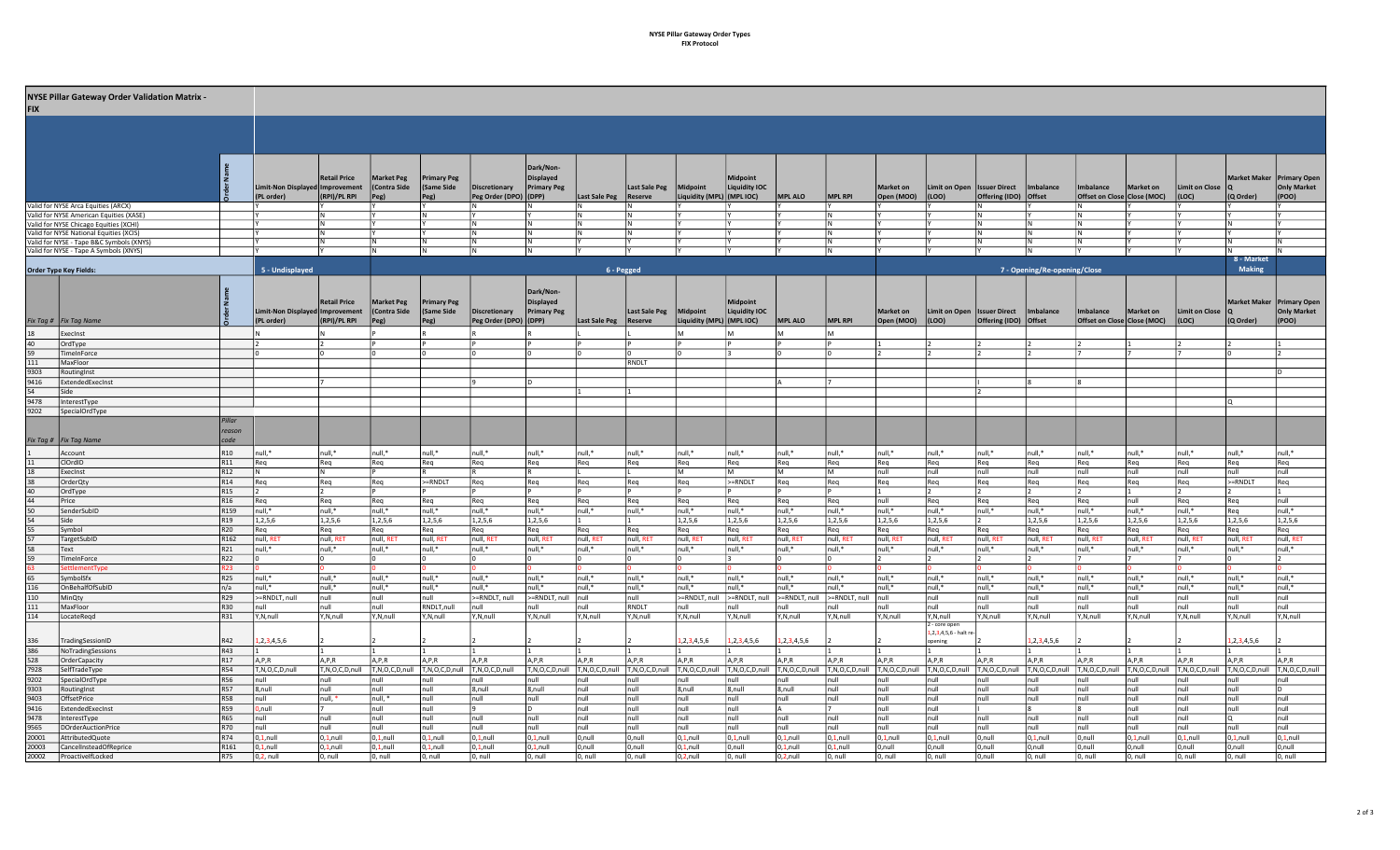## NYSE Pillar Gateway Order Types FIX Protocol

|              | NYSE Pillar Gateway Order Validation Matrix -                                     |                         |                                               |                        |                                  |                                       |                                        |                                        |               |                                 |                                       |                                  |                        |                        |                         |                                |                                               |                              |                                          |                                       |                               |                                       |                              |
|--------------|-----------------------------------------------------------------------------------|-------------------------|-----------------------------------------------|------------------------|----------------------------------|---------------------------------------|----------------------------------------|----------------------------------------|---------------|---------------------------------|---------------------------------------|----------------------------------|------------------------|------------------------|-------------------------|--------------------------------|-----------------------------------------------|------------------------------|------------------------------------------|---------------------------------------|-------------------------------|---------------------------------------|------------------------------|
| <b>EIX</b>   |                                                                                   |                         |                                               |                        |                                  |                                       |                                        |                                        |               |                                 |                                       |                                  |                        |                        |                         |                                |                                               |                              |                                          |                                       |                               |                                       |                              |
|              |                                                                                   |                         |                                               |                        |                                  |                                       |                                        |                                        |               |                                 |                                       |                                  |                        |                        |                         |                                |                                               |                              |                                          |                                       |                               |                                       |                              |
|              |                                                                                   |                         |                                               |                        |                                  |                                       |                                        |                                        |               |                                 |                                       |                                  |                        |                        |                         |                                |                                               |                              |                                          |                                       |                               |                                       |                              |
|              |                                                                                   |                         |                                               |                        |                                  |                                       |                                        |                                        |               |                                 |                                       |                                  |                        |                        |                         |                                |                                               |                              |                                          |                                       |                               |                                       |                              |
|              |                                                                                   |                         |                                               |                        |                                  |                                       |                                        | Dark/Non-                              |               |                                 |                                       |                                  |                        |                        |                         |                                |                                               |                              |                                          |                                       |                               |                                       |                              |
|              |                                                                                   |                         | Limit-Non Displayed Improvement               | <b>Retail Price</b>    | <b>Market Peg</b><br>Contra Side | <b>Primary Peg</b><br>(Same Side      | Discretionary                          | <b>Displayed</b><br><b>Primary Peg</b> |               | Last Sale Peg                   | Midpoint                              | Midpoint<br><b>Liquidity IOC</b> |                        |                        | <b>Market on</b>        | <b>Limit on Open</b>           | <b>Issuer Direct</b>                          | Imbalance                    | Imbalance                                | Market on                             | Limit on Close   Q            | Market Maker   Primary Open           | <b>Only Market</b>           |
|              |                                                                                   |                         | (PL order)                                    | (RPI)/PL RPI           | Peg)                             | Peg)                                  | Peg Order (DPO) (DPP)                  |                                        | Last Sale Peg | Reserve                         | Liquidity (MPL) $ (MPLIOC) $          |                                  | MPL ALO                | MPL RPI                | Open (MOO)              | (LOO)                          | Offering (IDO) Offset                         |                              | Offset on Close Close (MOC)              |                                       | (LOC)                         | $(Q$ Order)                           | (POO)                        |
|              | alid for NYSE Arca Equities (ARCX)                                                |                         |                                               |                        |                                  |                                       |                                        |                                        |               |                                 |                                       |                                  |                        |                        |                         |                                |                                               |                              |                                          |                                       |                               |                                       |                              |
|              | Valid for NYSE American Equities (XASE)<br>Valid for NYSE Chicago Equities (XCHI) |                         |                                               | N<br>l N               |                                  |                                       |                                        |                                        |               |                                 |                                       |                                  |                        |                        |                         |                                |                                               |                              | ΙN                                       |                                       |                               |                                       |                              |
|              | Valid for NYSE National Equities (XCIS)                                           |                         |                                               | lΝ                     |                                  |                                       |                                        |                                        |               |                                 |                                       |                                  |                        |                        |                         |                                |                                               |                              |                                          |                                       |                               |                                       |                              |
|              | alid for NYSE - Tape B&C Symbols (XNYS)                                           |                         |                                               |                        |                                  |                                       |                                        |                                        |               |                                 |                                       |                                  |                        |                        |                         |                                |                                               |                              |                                          |                                       |                               |                                       |                              |
|              | Valid for NYSE - Tape A Symbols (XNYS)                                            |                         |                                               |                        |                                  |                                       |                                        |                                        |               |                                 |                                       |                                  |                        |                        |                         |                                |                                               |                              |                                          |                                       |                               | 8 - Market                            |                              |
|              | <b>Order Type Key Fields:</b>                                                     |                         | 5 - Undisplayed                               |                        |                                  |                                       |                                        |                                        | 6 - Pegged    |                                 |                                       |                                  |                        |                        |                         |                                |                                               | 7 - Opening/Re-opening/Close |                                          |                                       |                               | <b>Making</b>                         |                              |
|              |                                                                                   |                         |                                               |                        |                                  |                                       |                                        |                                        |               |                                 |                                       |                                  |                        |                        |                         |                                |                                               |                              |                                          |                                       |                               |                                       |                              |
|              |                                                                                   |                         |                                               |                        |                                  |                                       |                                        | Dark/Non-                              |               |                                 |                                       |                                  |                        |                        |                         |                                |                                               |                              |                                          |                                       |                               |                                       |                              |
|              |                                                                                   |                         |                                               | <b>Retail Price</b>    | <b>Market Peg</b>                | <b>Primary Peg</b>                    |                                        | Displayed                              |               |                                 |                                       | Midpoint                         |                        |                        |                         |                                |                                               |                              |                                          |                                       |                               | Market Maker   Primary Open           |                              |
|              | Fix Tag #   Fix Tag Name                                                          |                         | Limit-Non Displayed Improvement<br>(PL order) | (RPI)/PL RPI           | (Contra Side<br>Peg)             | (Same Side<br>Peg)                    | Discretionary<br>Peg Order (DPO) (DPP) | <b>Primary Peg</b>                     | Last Sale Peg | Last Sale Peg<br><b>Reserve</b> | Midpoint<br>Liquidity (MPL) (MPL IOC) | <b>Liquidity IOC</b>             | <b>MPL ALO</b>         | MPL RPI                | Market on<br>Open (MOO) | <b>Limit on Open</b><br> (LOO) | <b>Issuer Direct</b><br>Offering (IDO) Offset | Imbalance                    | Imbalance<br>Offset on Close Close (MOC) | Market on                             | Limit on Close $ Q $<br>(LOC) | $(Q$ Order)                           | <b>Only Market</b><br> (POO) |
|              | ExecInst                                                                          |                         |                                               |                        |                                  |                                       |                                        |                                        |               |                                 |                                       |                                  |                        |                        |                         |                                |                                               |                              |                                          |                                       |                               |                                       |                              |
|              | OrdType                                                                           |                         |                                               | 12                     |                                  |                                       |                                        |                                        |               |                                 |                                       |                                  |                        |                        |                         |                                |                                               |                              |                                          |                                       |                               |                                       |                              |
|              | TimeInForce                                                                       |                         |                                               |                        |                                  |                                       |                                        |                                        |               |                                 |                                       |                                  |                        |                        |                         |                                |                                               |                              |                                          |                                       |                               |                                       |                              |
| 111<br>9303  | MaxFloor<br>RoutingInst                                                           |                         |                                               |                        |                                  |                                       |                                        |                                        |               | RNDLT                           |                                       |                                  |                        |                        |                         |                                |                                               |                              |                                          |                                       |                               |                                       |                              |
| 416          | ExtendedExecInst                                                                  |                         |                                               |                        |                                  |                                       |                                        |                                        |               |                                 |                                       |                                  |                        |                        |                         |                                |                                               |                              |                                          |                                       |                               |                                       |                              |
|              | Side                                                                              |                         |                                               |                        |                                  |                                       |                                        |                                        |               |                                 |                                       |                                  |                        |                        |                         |                                |                                               |                              |                                          |                                       |                               |                                       |                              |
| 9478         | InterestType                                                                      |                         |                                               |                        |                                  |                                       |                                        |                                        |               |                                 |                                       |                                  |                        |                        |                         |                                |                                               |                              |                                          |                                       |                               | חו                                    |                              |
| 9202         | SpecialOrdType                                                                    | Pillar                  |                                               |                        |                                  |                                       |                                        |                                        |               |                                 |                                       |                                  |                        |                        |                         |                                |                                               |                              |                                          |                                       |                               |                                       |                              |
|              |                                                                                   | reason                  |                                               |                        |                                  |                                       |                                        |                                        |               |                                 |                                       |                                  |                        |                        |                         |                                |                                               |                              |                                          |                                       |                               |                                       |                              |
|              | Fix Tag #   Fix Tag Name                                                          | code                    |                                               |                        |                                  |                                       |                                        |                                        |               |                                 |                                       |                                  |                        |                        |                         |                                |                                               |                              |                                          |                                       |                               |                                       |                              |
|              | Account                                                                           | R10                     | null,*                                        | null,*                 | null,*                           | null,*                                | null,*                                 | null,*                                 | null,*        | null,*                          | null,*                                | null,*                           | null,*                 | null,*                 | null,*                  | null,*                         | null,*                                        | null,*                       | null,*                                   | null,*                                | null,*                        | null,*                                | null,*                       |
|              | ClOrdID                                                                           | R11                     | Req                                           | Req                    | Req                              | Req                                   | Req                                    | Req                                    | Req           | Req                             | Req                                   | Req<br>٨л                        | Req<br>M               | Req<br>M               | Req                     | Req                            | Req                                           | Req                          | Req                                      | Req                                   | Req                           | Req                                   | Req                          |
|              | ExecInst<br>OrderQty                                                              | R <sub>12</sub><br>R14  | lΝ<br>Req                                     | IN.<br>Req             | Req                              | >=RNDLT                               | Req                                    | Req                                    | Req           | Req                             | l M<br>Req                            | >=RNDLT                          | Req                    | Req                    | null<br>Req             | null<br>Req                    | null<br>Req                                   | null<br>Req                  | null<br>Req                              | null<br>Req                           | null<br>Req                   | null<br>>=RNDLT                       | null<br>Req                  |
|              | OrdType                                                                           | R <sub>15</sub>         |                                               | 12                     |                                  |                                       |                                        |                                        |               |                                 |                                       |                                  |                        |                        |                         |                                |                                               |                              |                                          |                                       |                               |                                       |                              |
|              | Price                                                                             | R16                     | l Rea                                         | Reg                    | Req                              | Req                                   | Rea                                    | Req                                    | Req           | Reg                             | Reg                                   | Req                              | Req                    | Reg                    | null                    | Req                            | Req                                           | Reg                          | Req                                      | null                                  | Req                           | Reg                                   | Inull                        |
|              | SenderSubID<br>Side                                                               | R <sub>159</sub><br>R19 | null,*<br>1,2,5,6                             | null,*<br>1,2,5,6      | null,*<br>1, 2, 5, 6             | null,*<br>1,2,5,6                     | null,*<br>1, 2, 5, 6                   | null,*<br>1,2,5,6                      | null,*        | null,*                          | null,*<br>1,2,5,6                     | null,*<br>1,2,5,6                | null,*<br>1,2,5,6      | null,*<br>1,2,5,6      | null,*<br>1,2,5,6       | null,*<br>1,2,5,6              | null,*                                        | null,*<br>1,2,5,6            | null,*<br>1,2,5,6                        | null,*<br>1,2,5,6                     | null,*<br>1,2,5,6             | Req<br>1,2,5,6                        | null,*<br>1,2,5,6            |
|              | Symbol                                                                            | R20                     | Reg                                           | Req                    | Req                              | Req                                   | Req                                    | Req                                    | Req           | Reg                             | Req                                   | Req                              | Req                    | Reg                    | Req                     | Req                            | Req                                           | Req                          | Req                                      | Req                                   | Req                           | Reg                                   | Req                          |
|              | TargetSubID                                                                       | R <sub>162</sub>        | null, RET                                     | null, RET              | null, RE                         | null, RET                             | null, RET                              | null, RET                              | null, RET     | null, RET                       | null, RET                             | null, RET                        | null, RET              | null, RET              | null, RET               | null, RE                       | null, RET                                     | null, RET                    | null, RET                                | null, RET                             | null, RET                     | null, RET                             | null, RET                    |
|              | Text<br>TimeInForce                                                               | R21<br>R22              | null,*                                        | null,*<br>I٥           | null,*                           | null,*                                | null,*                                 | null,*                                 | null,*        | null,*                          | null,*                                | null,*                           | null,*                 | null,*                 | null,*                  | null,*                         | null,*                                        | null,*                       | null,*                                   | null,*                                | null,*                        | null,*                                | null,*                       |
|              | SettlementTvp                                                                     | R <sub>23</sub>         |                                               |                        |                                  |                                       |                                        |                                        |               |                                 |                                       |                                  |                        |                        |                         |                                |                                               |                              |                                          |                                       |                               |                                       |                              |
|              | SymbolSfx                                                                         | R25                     | l null.'                                      | null,*                 | null.*                           | null,*                                | null,*                                 | null,*                                 | null,*        | null,*                          | null,*                                | null,*                           | null,*                 | null,*                 | Inull.*                 | null.*                         | null,*                                        | null,*                       | null,*                                   | null.*                                | null,*                        | null.*                                | Inull.*                      |
| 16           | <b>OnBehalfOfSubID</b>                                                            | n/a                     | null,*                                        | null,*                 | null,*                           | null,*                                | null,*                                 | null,*                                 | null,*        | null,*                          | null,*                                | null,*                           | null,*                 | null,*                 | null,*                  | null,*                         | null,*                                        | null,*                       | null,*                                   | null,*                                | null,*                        | null,*                                | null,*                       |
| 10<br>111    | MinQty<br>MaxFloor                                                                | R29<br>R30              | >=RNDLT, null<br>Inull                        | null<br>null           | null<br>null                     | null<br>RNDLT, null                   | >=RNDLT, null<br>null                  | >=RNDLT, null null<br>null             | null          | null<br>RNDLT                   | >=RNDLT, null<br>null                 | >=RNDLT, null<br>null            | >=RNDLT, null<br>null  | >=RNDLT, null<br>null  | null<br>l null          | null<br>null                   | null<br>null                                  | null<br>null                 | null<br>null                             | null<br>null                          | null<br>null                  | null<br>null                          | null<br>null                 |
| 114          | LocateRegd                                                                        | R31                     | Y,N,null                                      | Y,N,null               | Y,N,null                         | Y,N,null                              | Y,N,null                               | Y.N.null                               | Y,N,null      | Y,N,null                        | Y,N,null                              | Y,N,null                         | Y,N,null               | Y,N,null               | Y,N,null                | Y,N,null                       | Y,N,null                                      | Y,N,null                     | Y,N,null                                 | Y,N,null                              | Y,N,null                      | Y,N,null                              | Y,N,null                     |
|              |                                                                                   |                         |                                               |                        |                                  |                                       |                                        |                                        |               |                                 |                                       |                                  |                        |                        |                         | - core oper                    |                                               |                              |                                          |                                       |                               |                                       |                              |
| 336          | TradingSessionID                                                                  | R42                     | 1, 2, 3, 4, 5, 6                              |                        |                                  |                                       |                                        |                                        |               |                                 | 1, 2, 3, 4, 5, 6                      | 1, 2, 3, 4, 5, 6                 | 1, 2, 3, 4, 5, 6       |                        |                         | 1,2,3,4,5,6 - halt r<br>pening |                                               | , 2, 3, 4, 5, 6              |                                          |                                       |                               | 1, 2, 3, 4, 5, 6                      |                              |
| 386          | NoTradingSessions                                                                 | R43                     |                                               |                        |                                  |                                       |                                        |                                        |               |                                 |                                       |                                  |                        |                        |                         |                                |                                               |                              |                                          |                                       |                               |                                       |                              |
| 528          | OrderCapacity                                                                     | R <sub>17</sub>         | A,P,R                                         | A, P, R                | A, P, R                          | A, P, R                               | A,P,R                                  | A, P, R                                | A, P, R       | A,P,R                           | A, P, R                               | A,P,R                            | A,P,R                  | A,P,R                  | A, P, R                 | A, P, R                        | A, P, R                                       | A,P,R                        | A, P, R                                  | A, P, R                               | A, P, R                       | A, P, R                               | A, P, R                      |
| 7928<br>9202 | SelfTradeType<br>SpecialOrdType                                                   | R54<br>R56              | T,N,O,C,D,null<br>null                        | T,N,O,C,D,null<br>null | T,N,O,C,D,null<br>null           | T,N,O,C,D,null T,N,O,C,D,null<br>null | null                                   | T,N,O,C,D,null T,N,O,C,D,null<br>null  | null          | T,N,O,C,D,null<br>null          | T,N,O,C,D,null<br>null                | T,N,O,C,D,null<br>null           | T,N,O,C,D,null<br>null | T,N,O,C,D,null<br>null | T,N,O,C,D,null<br>Inull | T,N,O,C,D,null<br>null         | T,N,O,C,D,null<br>null                        | T,N,O,C,D,null<br>null       | T,N,O,C,D,null<br>null                   | T,N,O,C,D,null T,N,O,C,D,null<br>null | null                          | T,N,O,C,D,null T,N,O,C,D,null<br>null | null                         |
| 9303         | RoutingInst                                                                       | <b>R57</b>              | $8,$ null                                     | null                   | null                             | null                                  | 8,null                                 | 8,null                                 | null          | null                            | 8.null                                | 8,null                           | 8,null                 | null                   | InuII                   | null                           | null                                          | null                         | InuII                                    | null                                  | Inull                         | Inull                                 | In.                          |
| 9403         | OffsetPrice                                                                       | <b>R58</b>              | null                                          | null, *                | null, *                          | null                                  | null                                   | null                                   | null          | null                            | null                                  | null                             | null                   | null                   | Inull                   | null                           | null                                          | null                         | null                                     | null                                  | null                          | null                                  | null                         |
| 416<br>9478  | ExtendedExecInst<br>InterestType                                                  | R59<br>R65              | J,null<br>null                                | null                   | null<br>null                     | null<br>null                          | null                                   | null                                   | null<br>null  | null<br>null                    | null<br>null                          | null<br>null                     | null                   | null                   | null<br>null            | null<br>null                   | null                                          | null                         | null                                     | null<br>null                          | null<br>null                  | null<br>۱Q                            | null<br>null                 |
| 3565         | DOrderAuctionPrice                                                                | <b>R70</b>              | Inull                                         | Inull                  | null                             | null                                  | null                                   | null                                   | Inull         | null                            | Inull                                 | null                             | null                   | null                   | null                    | null                           | null                                          | null                         | Inull                                    | null                                  | null                          | null                                  | Inull                        |
| 20001        | AttributedQuote                                                                   | R74                     | $0.1$ .null                                   | $0,1$ , null           | $0,1$ , null                     | $0.1$ .null                           | $0.1$ .null                            | $0,1$ , null                           | 0,null        | 0,null                          | $0.1$ .null                           | 0,1,null                         | $0.1$ .null            | 0,1,null               | $0,1$ , null            | $0,1$ , null                   | 0.null                                        | 0,1,null                     | 0,null                                   | $0,1$ , null                          | $0,1$ , null                  | $0,1$ , null                          | $0,1$ , null                 |
| 20003        | CancelInsteadOfReprice                                                            | R161                    | $0.1$ .null                                   | $0,1$ , null           | $0,1$ , null                     | $0,1$ , null                          | $0,1$ , null                           | $0,1$ , null                           | 0,null        | 0,null                          | $0,1$ , null                          | 0,null                           | $0,1$ , null           | $0,1$ , null           | 0,null                  | J,null                         | 0,null                                        | ),null                       | 0,null                                   | 0,null                                | 0,null                        | 0,null                                | $0,$ null                    |
| 20002        | ProactivelfLocked                                                                 | R <sub>75</sub>         | $0.2$ . null                                  | 0. null                | 0. null                          | 0. null                               | 0. null                                | 0. null                                | 0. null       | 0. null                         | $0.2$ .null                           | 0. null                          | $0.2$ .null            | 0. null                | l0. null                | 0. null                        | 0.null                                        | 0. null                      | lo. null                                 | 0. null                               | l 0. null                     | 0. null                               | 10. nul                      |